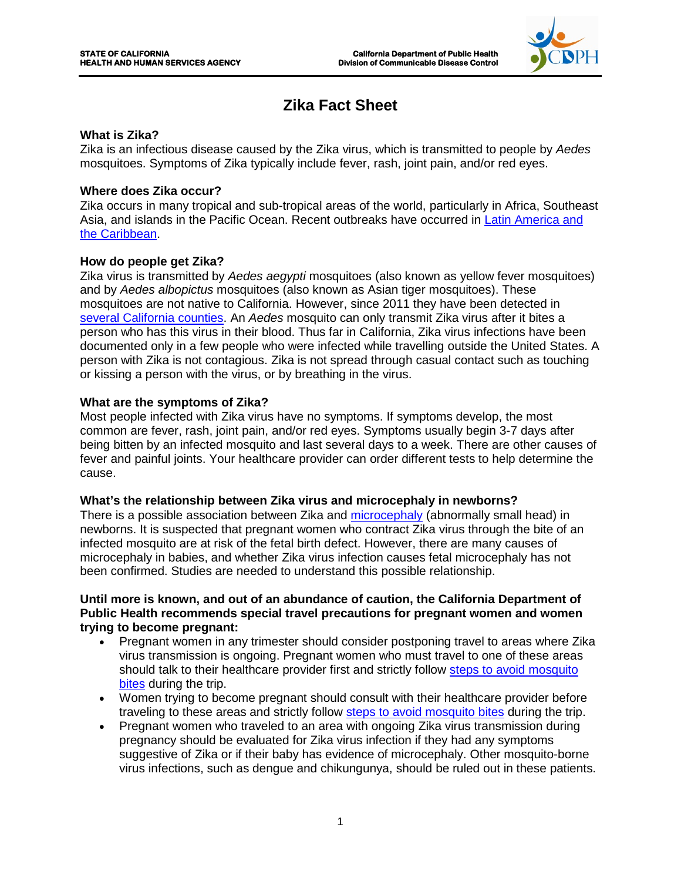

# **Zika Fact Sheet**

## **What is Zika?**

Zika is an infectious disease caused by the Zika virus, which is transmitted to people by *Aedes*  mosquitoes. Symptoms of Zika typically include fever, rash, joint pain, and/or red eyes.

## **Where does Zika occur?**

Zika occurs in many tropical and sub-tropical areas of the world, particularly in Africa, Southeast Asia, and islands in the Pacific Ocean. Recent outbreaks have occurred in [Latin America and](http://www.paho.org/hq/index.php?option=com_topics&view=article&id=427&Itemid=41484)  [the Caribbean.](http://www.paho.org/hq/index.php?option=com_topics&view=article&id=427&Itemid=41484)

## **How do people get Zika?**

Zika virus is transmitted by *Aedes aegypti* mosquitoes (also known as yellow fever mosquitoes) and by *Aedes albopictus* mosquitoes (also known as Asian tiger mosquitoes). These mosquitoes are not native to California. However, since 2011 they have been detected in [several California counties.](https://www.cdph.ca.gov/HealthInfo/discond/Documents/AedesDistributionMap.pdf) An *Aedes* mosquito can only transmit Zika virus after it bites a person who has this virus in their blood. Thus far in California, Zika virus infections have been documented only in a few people who were infected while travelling outside the United States. A person with Zika is not contagious. Zika is not spread through casual contact such as touching or kissing a person with the virus, or by breathing in the virus.

## **What are the symptoms of Zika?**

Most people infected with Zika virus have no symptoms. If symptoms develop, the most common are fever, rash, joint pain, and/or red eyes. Symptoms usually begin 3-7 days after being bitten by an infected mosquito and last several days to a week. There are other causes of fever and painful joints. Your healthcare provider can order different tests to help determine the cause.

#### **What's the relationship between Zika virus and microcephaly in newborns?**

There is a possible association between Zika and [microcephaly](http://www.cdc.gov/ncbddd/birthdefects/microcephaly.html) (abnormally small head) in newborns. It is suspected that pregnant women who contract Zika virus through the bite of an infected mosquito are at risk of the fetal birth defect. However, there are many causes of microcephaly in babies, and whether Zika virus infection causes fetal microcephaly has not been confirmed. Studies are needed to understand this possible relationship.

#### **Until more is known, and out of an abundance of caution, the California Department of Public Health recommends special travel precautions for pregnant women and women trying to become pregnant:**

- Pregnant women in any trimester should consider postponing travel to areas where Zika virus transmission is ongoing. Pregnant women who must travel to one of these areas should talk to their healthcare provider first and strictly follow [steps to avoid mosquito](http://www.cdc.gov/chikungunya/pdfs/fs_mosquito_bite_prevention_travelers.pdf)  [bites](http://www.cdc.gov/chikungunya/pdfs/fs_mosquito_bite_prevention_travelers.pdf) during the trip.
- Women trying to become pregnant should consult with their healthcare provider before traveling to these areas and strictly follow [steps to avoid mosquito bites](http://www.cdc.gov/chikungunya/pdfs/fs_mosquito_bite_prevention_travelers.pdf) during the trip.
- Pregnant women who traveled to an area with ongoing Zika virus transmission during pregnancy should be evaluated for Zika virus infection if they had any symptoms suggestive of Zika or if their baby has evidence of microcephaly. Other mosquito-borne virus infections, such as dengue and chikungunya, should be ruled out in these patients.